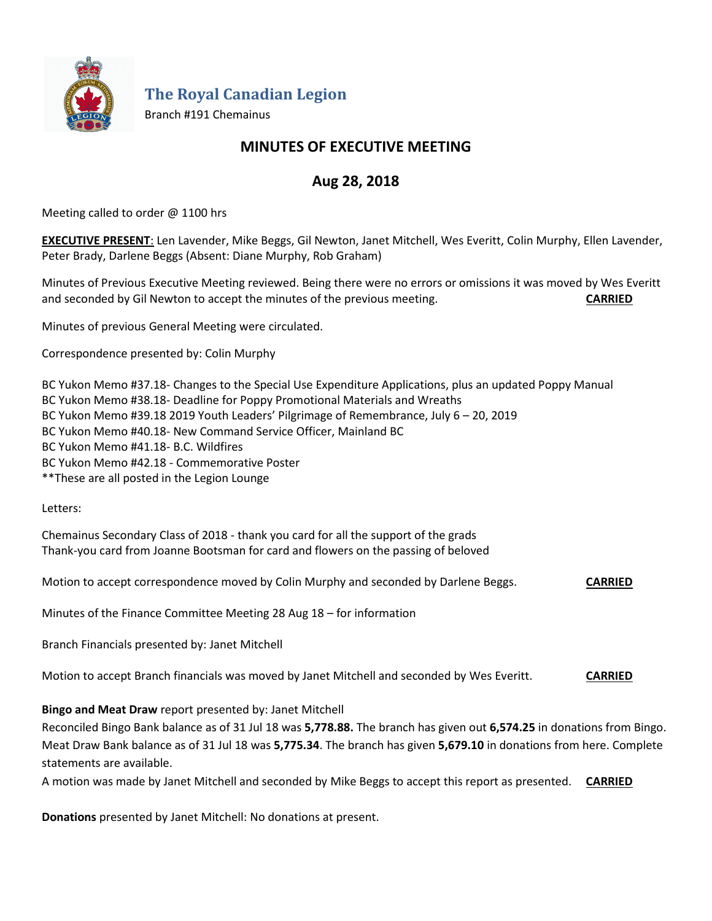

**The Royal Canadian Legion**

Branch #191 Chemainus

# **MINUTES OF EXECUTIVE MEETING**

# **Aug 28, 2018**

Meeting called to order @ 1100 hrs

**EXECUTIVE PRESENT**: Len Lavender, Mike Beggs, Gil Newton, Janet Mitchell, Wes Everitt, Colin Murphy, Ellen Lavender, Peter Brady, Darlene Beggs (Absent: Diane Murphy, Rob Graham)

Minutes of Previous Executive Meeting reviewed. Being there were no errors or omissions it was moved by Wes Everitt and seconded by Gil Newton to accept the minutes of the previous meeting. **CARRIED**

Minutes of previous General Meeting were circulated.

Correspondence presented by: Colin Murphy

BC Yukon Memo #37.18- Changes to the Special Use Expenditure Applications, plus an updated Poppy Manual BC Yukon Memo #38.18- Deadline for Poppy Promotional Materials and Wreaths BC Yukon Memo #39.18 2019 Youth Leaders' Pilgrimage of Remembrance, July 6 – 20, 2019 BC Yukon Memo #40.18- New Command Service Officer, Mainland BC BC Yukon Memo #41.18- B.C. Wildfires BC Yukon Memo #42.18 - Commemorative Poster \*\*These are all posted in the Legion Lounge

Letters:

Chemainus Secondary Class of 2018 - thank you card for all the support of the grads Thank-you card from Joanne Bootsman for card and flowers on the passing of beloved

Motion to accept correspondence moved by Colin Murphy and seconded by Darlene Beggs. **CARRIED**

Minutes of the Finance Committee Meeting 28 Aug 18 – for information

Branch Financials presented by: Janet Mitchell

Motion to accept Branch financials was moved by Janet Mitchell and seconded by Wes Everitt. **CARRIED**

#### **Bingo and Meat Draw** report presented by: Janet Mitchell

Reconciled Bingo Bank balance as of 31 Jul 18 was **5,778.88.** The branch has given out **6,574.25** in donations from Bingo. Meat Draw Bank balance as of 31 Jul 18 was **5,775.34**. The branch has given **5,679.10** in donations from here. Complete statements are available.

A motion was made by Janet Mitchell and seconded by Mike Beggs to accept this report as presented. **CARRIED**

**Donations** presented by Janet Mitchell: No donations at present.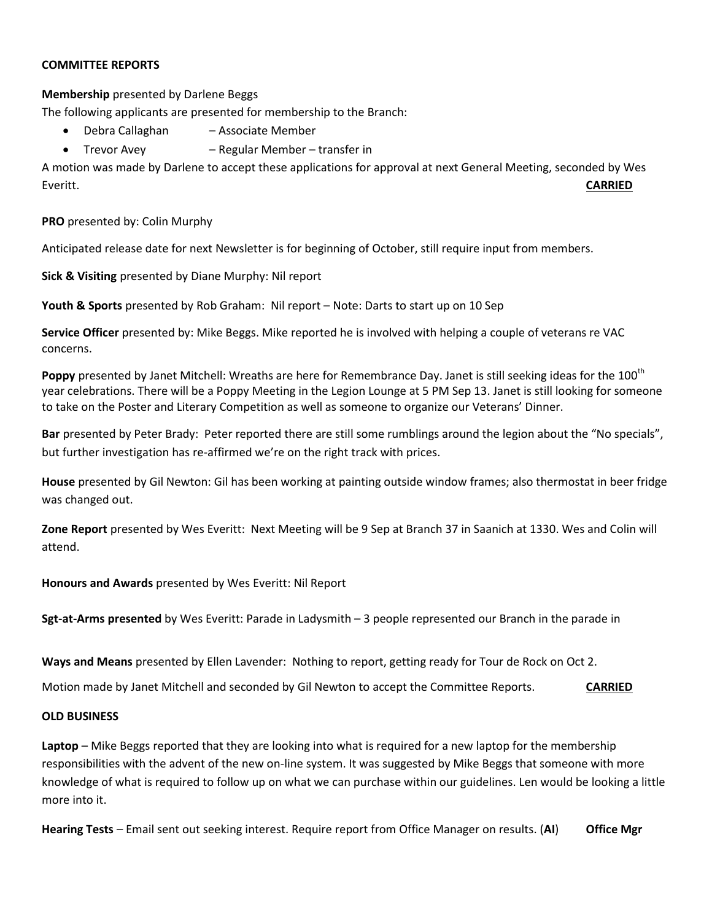#### **COMMITTEE REPORTS**

### **Membership** presented by Darlene Beggs

The following applicants are presented for membership to the Branch:

- Debra Callaghan Associate Member
- Trevor Avey Regular Member transfer in

A motion was made by Darlene to accept these applications for approval at next General Meeting, seconded by Wes Everitt. **CARRIED**

**PRO** presented by: Colin Murphy

Anticipated release date for next Newsletter is for beginning of October, still require input from members.

**Sick & Visiting** presented by Diane Murphy: Nil report

**Youth & Sports** presented by Rob Graham: Nil report – Note: Darts to start up on 10 Sep

**Service Officer** presented by: Mike Beggs. Mike reported he is involved with helping a couple of veterans re VAC concerns.

Poppy presented by Janet Mitchell: Wreaths are here for Remembrance Day. Janet is still seeking ideas for the 100<sup>th</sup> year celebrations. There will be a Poppy Meeting in the Legion Lounge at 5 PM Sep 13. Janet is still looking for someone to take on the Poster and Literary Competition as well as someone to organize our Veterans' Dinner.

**Bar** presented by Peter Brady: Peter reported there are still some rumblings around the legion about the "No specials", but further investigation has re-affirmed we're on the right track with prices.

**House** presented by Gil Newton: Gil has been working at painting outside window frames; also thermostat in beer fridge was changed out.

**Zone Report** presented by Wes Everitt: Next Meeting will be 9 Sep at Branch 37 in Saanich at 1330. Wes and Colin will attend.

**Honours and Awards** presented by Wes Everitt: Nil Report

**Sgt-at-Arms presented** by Wes Everitt: Parade in Ladysmith – 3 people represented our Branch in the parade in

**Ways and Means** presented by Ellen Lavender: Nothing to report, getting ready for Tour de Rock on Oct 2.

Motion made by Janet Mitchell and seconded by Gil Newton to accept the Committee Reports. **CARRIED**

## **OLD BUSINESS**

**Laptop** – Mike Beggs reported that they are looking into what is required for a new laptop for the membership responsibilities with the advent of the new on-line system. It was suggested by Mike Beggs that someone with more knowledge of what is required to follow up on what we can purchase within our guidelines. Len would be looking a little more into it.

**Hearing Tests** – Email sent out seeking interest. Require report from Office Manager on results. (**AI**) **Office Mgr**